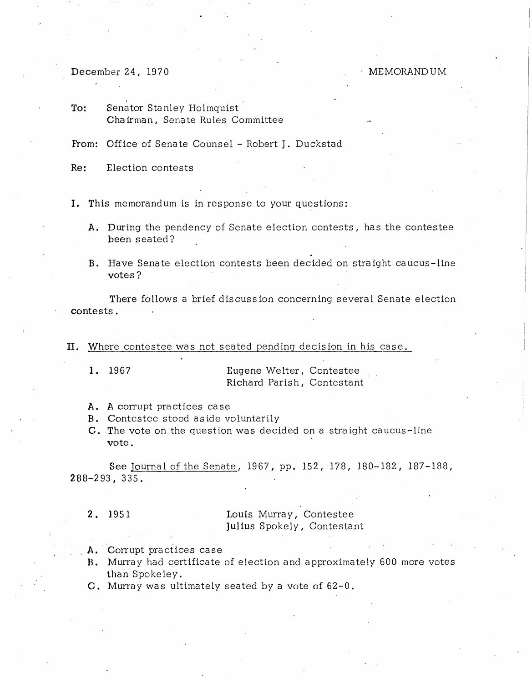December 24, 1970

MEMORANDUM

To: Senator Stanley Holmquist Chairman, Senate Rules Committee

From: Office of Senate Counsel - Robert J. Duckstad

Re: Election contests

I. This memorandum is in response to your questions:

- A. During the pendency of Senate election contests, has the contestee been seated?
- B. Have Senate election contests been decided on straight caucus-line votes?

There follows a brief discuss ion concerning several Senate election contests.

II. Where contestee was not seated pending decision in his case.

1. 1967 Eugene Welter, Contestee Richard Parish, Contestant

- A. A corrupt practices case
- B. Contestee stood aside voluntarily
- C. The vote on the question was decided on a straight caucus-line vote.

See Journal of the Senate, 1967, pp. 152, 178, 180-182, 187-188, 288-293, 335.

2. 1951 Louis Murray, Contestee Julius Spokely, Contestant

- A. Corrupt practices case
- B. Murray had certificate of election and approximately 600 more votes than Spoke ley.
- C. Murray was ultimately seated by a vote of 62-0.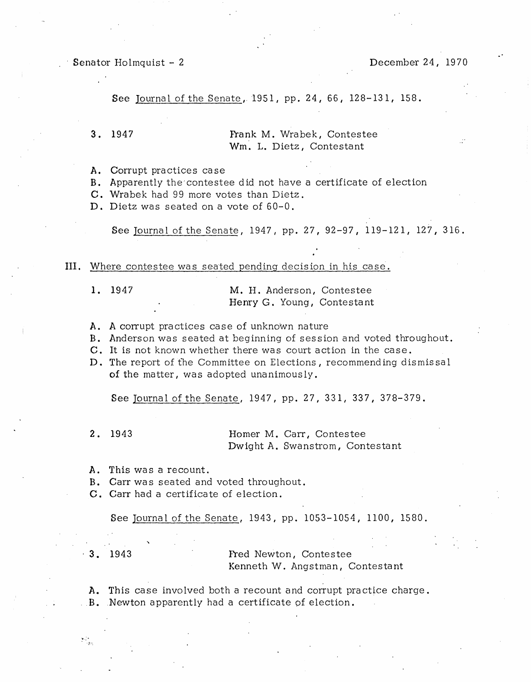Senator Holmquist - 2 December 24, 1970

See Journal of the Senate, 1951, pp. 24, 66, 128-131, 158.

3. 1947 **Frank M. Wrabek, Contestee** Wm. L. Dietz, Contestant

A. Corrupt practices case

B. Apparently the'contestee did not have a certificate of election

C. Wrabek had 99 more votes than Dietz.

D. Dietz was seated on a vote of 60-0.

See Journal of the Senate, 1947, pp. 27, 92-97, 119-121, 127, 316.

III. Where contestee was seated pending decision in his case.

1. 1947 M. H. Anderson, Contestee Henry G. Young, Contestant

- A. A corrupt practices case of unknown nature
- B. Anderson was seated at beginning of session and voted throughout.
- C. It is not known whether there was court action in the case.
- D. The report of the Committee on Elections, recommending dismissal of the matter, was adopted unanimously.

See Journal of the Senate, 1947, pp. 27, 331, 337, 378-379.

2. 1943 **Homer M. Carr, Contestee** Dwight A. Swanstrom, Contestant

- A. This was a recount.
- B. Carr was seated and voted throughout.
- C. Carr had a certificate of election.

See Journal of the Senate, 1943, pp. 1053-1054, 1100, 1580.

1. 1943 **Fred Newton, Contestee** Kenneth W. Angstman, Contestant

A. This case involved both a recount and corrupt practice charge . . B. Newton apparently had a certificate of election.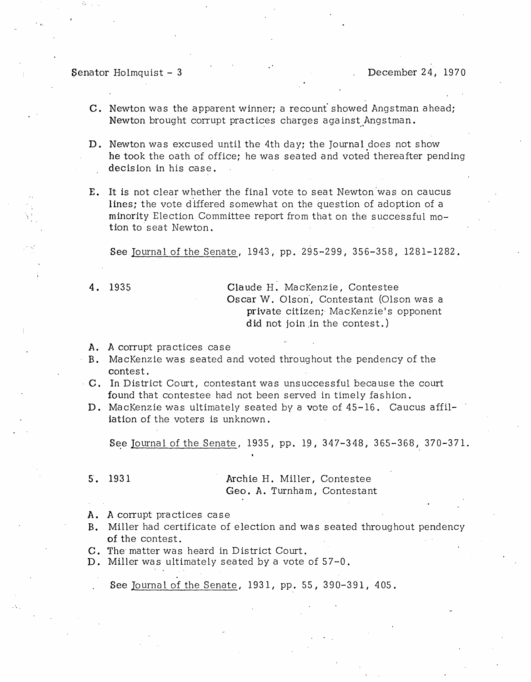Senator Holmquist - 3 December 24, 1970

- C. Newton was the apparent winner; a recount showed Angstman ahead; Newton brought corrupt practices charges against Angstman.
- D. Newton was excused until the 4th day; the Journal does not show he took the oath of office; he was seated and voted thereafter pending decision in his case.
- E. It is not clear whether the final vote to seat Newton 'was on caucus lines; the vote differed somewhat on the question of adoption of a minority Election Committee report from that on the successful motion to'seat Newton.

See Journal of the Senate, 1943, pp. 295-299, 356-358, 1281-1282.

 $\ddotsc$ 

4. 1935 Claude H. MacKenzie, Contestee Oscar W. Olson', Contestant (Olson was a private citizen; MacKenzie's opponent did not join in the contest.)

- A. A corrupt practices case
- B. MacKenzie was seated and voted throughout the pendency of the contest.
- C. In District Court, contestant was unsuccessful because the court found that contestee had not been served in timely fashion.
- D. MacKenzie was ultimately seated by a vote of 45-16. Caucus affiliation of the voters is unknown.

See Journal of the Senate, 1935, pp. 19, 347-348, 365-368, 370-371.

## 5. 1931 **Archie H. Miller, Contestee** Geo. A. Turnham, Contestant

- A. A corrupt practices case
- B. Miller had certificate of election and was seated throughout pendency of the contest.
- C. The' matter was heard in District Court.
- D. Miller was ultimately seated by a vote of 57-0.

See Journal of the Senate, 1931, pp. 55, 390-391, 405.